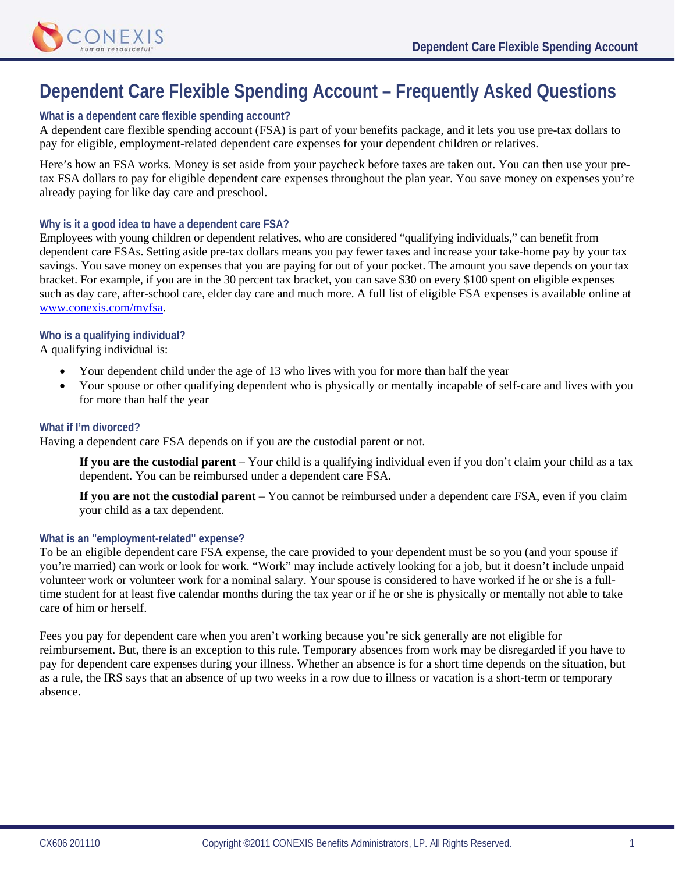

# **Dependent Care Flexible Spending Account – Frequently Asked Questions**

## **What is a dependent care flexible spending account?**

A dependent care flexible spending account (FSA) is part of your benefits package, and it lets you use pre-tax dollars to pay for eligible, employment-related dependent care expenses for your dependent children or relatives.

Here's how an FSA works. Money is set aside from your paycheck before taxes are taken out. You can then use your pretax FSA dollars to pay for eligible dependent care expenses throughout the plan year. You save money on expenses you're already paying for like day care and preschool.

## **Why is it a good idea to have a dependent care FSA?**

Employees with young children or dependent relatives, who are considered "qualifying individuals," can benefit from dependent care FSAs. Setting aside pre-tax dollars means you pay fewer taxes and increase your take-home pay by your tax savings. You save money on expenses that you are paying for out of your pocket. The amount you save depends on your tax bracket. For example, if you are in the 30 percent tax bracket, you can save \$30 on every \$100 spent on eligible expenses such as day care, after-school care, elder day care and much more. A full list of eligible FSA expenses is available online at www.conexis.com/myfsa.

## **Who is a qualifying individual?**

A qualifying individual is:

- Your dependent child under the age of 13 who lives with you for more than half the year
- Your spouse or other qualifying dependent who is physically or mentally incapable of self-care and lives with you for more than half the year

## **What if I'm divorced?**

Having a dependent care FSA depends on if you are the custodial parent or not.

**If you are the custodial parent** – Your child is a qualifying individual even if you don't claim your child as a tax dependent. You can be reimbursed under a dependent care FSA.

**If you are not the custodial parent** – You cannot be reimbursed under a dependent care FSA, even if you claim your child as a tax dependent.

## **What is an "employment-related" expense?**

To be an eligible dependent care FSA expense, the care provided to your dependent must be so you (and your spouse if you're married) can work or look for work. "Work" may include actively looking for a job, but it doesn't include unpaid volunteer work or volunteer work for a nominal salary. Your spouse is considered to have worked if he or she is a fulltime student for at least five calendar months during the tax year or if he or she is physically or mentally not able to take care of him or herself.

Fees you pay for dependent care when you aren't working because you're sick generally are not eligible for reimbursement. But, there is an exception to this rule. Temporary absences from work may be disregarded if you have to pay for dependent care expenses during your illness. Whether an absence is for a short time depends on the situation, but as a rule, the IRS says that an absence of up two weeks in a row due to illness or vacation is a short-term or temporary absence.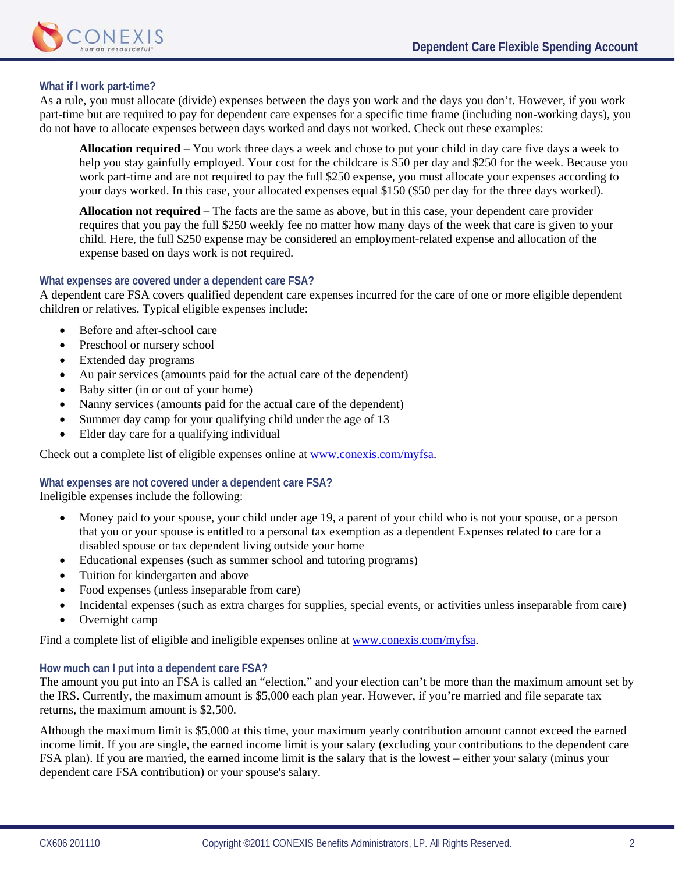

## **What if I work part-time?**

As a rule, you must allocate (divide) expenses between the days you work and the days you don't. However, if you work part-time but are required to pay for dependent care expenses for a specific time frame (including non-working days), you do not have to allocate expenses between days worked and days not worked. Check out these examples:

**Allocation required –** You work three days a week and chose to put your child in day care five days a week to help you stay gainfully employed. Your cost for the childcare is \$50 per day and \$250 for the week. Because you work part-time and are not required to pay the full \$250 expense, you must allocate your expenses according to your days worked. In this case, your allocated expenses equal \$150 (\$50 per day for the three days worked).

**Allocation not required –** The facts are the same as above, but in this case, your dependent care provider requires that you pay the full \$250 weekly fee no matter how many days of the week that care is given to your child. Here, the full \$250 expense may be considered an employment-related expense and allocation of the expense based on days work is not required.

## **What expenses are covered under a dependent care FSA?**

A dependent care FSA covers qualified dependent care expenses incurred for the care of one or more eligible dependent children or relatives. Typical eligible expenses include:

- Before and after-school care
- Preschool or nursery school
- Extended day programs
- Au pair services (amounts paid for the actual care of the dependent)
- Baby sitter (in or out of your home)
- Nanny services (amounts paid for the actual care of the dependent)
- Summer day camp for your qualifying child under the age of 13
- Elder day care for a qualifying individual

Check out a complete list of eligible expenses online at www.conexis.com/myfsa.

#### **What expenses are not covered under a dependent care FSA?**

Ineligible expenses include the following:

- Money paid to your spouse, your child under age 19, a parent of your child who is not your spouse, or a person that you or your spouse is entitled to a personal tax exemption as a dependent Expenses related to care for a disabled spouse or tax dependent living outside your home
- Educational expenses (such as summer school and tutoring programs)
- Tuition for kindergarten and above
- Food expenses (unless inseparable from care)
- Incidental expenses (such as extra charges for supplies, special events, or activities unless inseparable from care)
- Overnight camp

Find a complete list of eligible and ineligible expenses online at www.conexis.com/myfsa.

#### **How much can I put into a dependent care FSA?**

The amount you put into an FSA is called an "election," and your election can't be more than the maximum amount set by the IRS. Currently, the maximum amount is \$5,000 each plan year. However, if you're married and file separate tax returns, the maximum amount is \$2,500.

Although the maximum limit is \$5,000 at this time, your maximum yearly contribution amount cannot exceed the earned income limit. If you are single, the earned income limit is your salary (excluding your contributions to the dependent care FSA plan). If you are married, the earned income limit is the salary that is the lowest – either your salary (minus your dependent care FSA contribution) or your spouse's salary.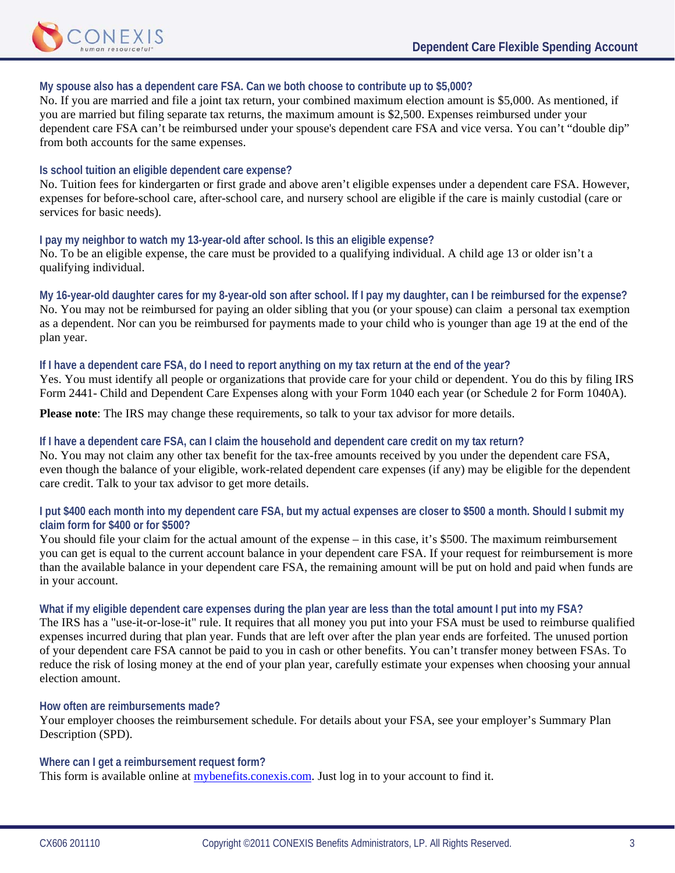

#### **My spouse also has a dependent care FSA. Can we both choose to contribute up to \$5,000?**

No. If you are married and file a joint tax return, your combined maximum election amount is \$5,000. As mentioned, if you are married but filing separate tax returns, the maximum amount is \$2,500. Expenses reimbursed under your dependent care FSA can't be reimbursed under your spouse's dependent care FSA and vice versa. You can't "double dip" from both accounts for the same expenses.

#### **Is school tuition an eligible dependent care expense?**

No. Tuition fees for kindergarten or first grade and above aren't eligible expenses under a dependent care FSA. However, expenses for before-school care, after-school care, and nursery school are eligible if the care is mainly custodial (care or services for basic needs).

#### **I pay my neighbor to watch my 13-year-old after school. Is this an eligible expense?**

No. To be an eligible expense, the care must be provided to a qualifying individual. A child age 13 or older isn't a qualifying individual.

**My 16-year-old daughter cares for my 8-year-old son after school. If I pay my daughter, can I be reimbursed for the expense?** 

No. You may not be reimbursed for paying an older sibling that you (or your spouse) can claim a personal tax exemption as a dependent. Nor can you be reimbursed for payments made to your child who is younger than age 19 at the end of the plan year.

#### **If I have a dependent care FSA, do I need to report anything on my tax return at the end of the year?**

Yes. You must identify all people or organizations that provide care for your child or dependent. You do this by filing IRS Form 2441- Child and Dependent Care Expenses along with your Form 1040 each year (or Schedule 2 for Form 1040A).

**Please note**: The IRS may change these requirements, so talk to your tax advisor for more details.

## **If I have a dependent care FSA, can I claim the household and dependent care credit on my tax return?**

No. You may not claim any other tax benefit for the tax-free amounts received by you under the dependent care FSA, even though the balance of your eligible, work-related dependent care expenses (if any) may be eligible for the dependent care credit. Talk to your tax advisor to get more details.

## **I put \$400 each month into my dependent care FSA, but my actual expenses are closer to \$500 a month. Should I submit my claim form for \$400 or for \$500?**

You should file your claim for the actual amount of the expense – in this case, it's \$500. The maximum reimbursement you can get is equal to the current account balance in your dependent care FSA. If your request for reimbursement is more than the available balance in your dependent care FSA, the remaining amount will be put on hold and paid when funds are in your account.

#### **What if my eligible dependent care expenses during the plan year are less than the total amount I put into my FSA?**

The IRS has a "use-it-or-lose-it" rule. It requires that all money you put into your FSA must be used to reimburse qualified expenses incurred during that plan year. Funds that are left over after the plan year ends are forfeited. The unused portion of your dependent care FSA cannot be paid to you in cash or other benefits. You can't transfer money between FSAs. To reduce the risk of losing money at the end of your plan year, carefully estimate your expenses when choosing your annual election amount.

#### **How often are reimbursements made?**

Your employer chooses the reimbursement schedule. For details about your FSA, see your employer's Summary Plan Description (SPD).

#### **Where can I get a reimbursement request form?**

This form is available online at *mybenefits.conexis.com*. Just log in to your account to find it.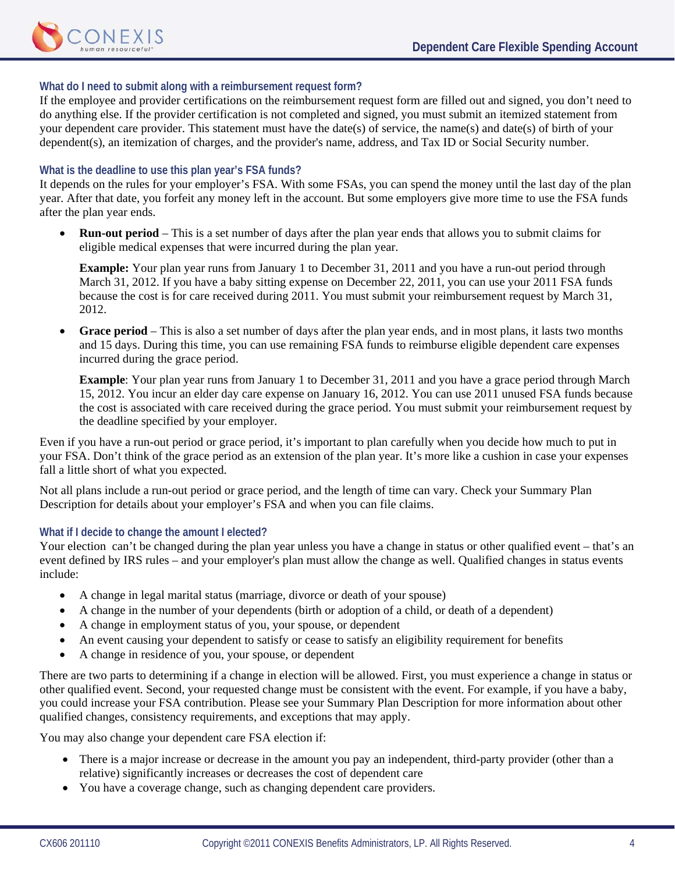

## **What do I need to submit along with a reimbursement request form?**

If the employee and provider certifications on the reimbursement request form are filled out and signed, you don't need to do anything else. If the provider certification is not completed and signed, you must submit an itemized statement from your dependent care provider. This statement must have the date(s) of service, the name(s) and date(s) of birth of your dependent(s), an itemization of charges, and the provider's name, address, and Tax ID or Social Security number.

## **What is the deadline to use this plan year's FSA funds?**

It depends on the rules for your employer's FSA. With some FSAs, you can spend the money until the last day of the plan year. After that date, you forfeit any money left in the account. But some employers give more time to use the FSA funds after the plan year ends.

• **Run-out period** – This is a set number of days after the plan year ends that allows you to submit claims for eligible medical expenses that were incurred during the plan year.

**Example:** Your plan year runs from January 1 to December 31, 2011 and you have a run-out period through March 31, 2012. If you have a baby sitting expense on December 22, 2011, you can use your 2011 FSA funds because the cost is for care received during 2011. You must submit your reimbursement request by March 31, 2012.

• **Grace period** – This is also a set number of days after the plan year ends, and in most plans, it lasts two months and 15 days. During this time, you can use remaining FSA funds to reimburse eligible dependent care expenses incurred during the grace period.

**Example**: Your plan year runs from January 1 to December 31, 2011 and you have a grace period through March 15, 2012. You incur an elder day care expense on January 16, 2012. You can use 2011 unused FSA funds because the cost is associated with care received during the grace period. You must submit your reimbursement request by the deadline specified by your employer.

Even if you have a run-out period or grace period, it's important to plan carefully when you decide how much to put in your FSA. Don't think of the grace period as an extension of the plan year. It's more like a cushion in case your expenses fall a little short of what you expected.

Not all plans include a run-out period or grace period, and the length of time can vary. Check your Summary Plan Description for details about your employer's FSA and when you can file claims.

## **What if I decide to change the amount I elected?**

Your election can't be changed during the plan year unless you have a change in status or other qualified event – that's an event defined by IRS rules – and your employer's plan must allow the change as well. Qualified changes in status events include:

- A change in legal marital status (marriage, divorce or death of your spouse)
- A change in the number of your dependents (birth or adoption of a child, or death of a dependent)
- A change in employment status of you, your spouse, or dependent
- An event causing your dependent to satisfy or cease to satisfy an eligibility requirement for benefits
- A change in residence of you, your spouse, or dependent

There are two parts to determining if a change in election will be allowed. First, you must experience a change in status or other qualified event. Second, your requested change must be consistent with the event. For example, if you have a baby, you could increase your FSA contribution. Please see your Summary Plan Description for more information about other qualified changes, consistency requirements, and exceptions that may apply.

You may also change your dependent care FSA election if:

- There is a major increase or decrease in the amount you pay an independent, third-party provider (other than a relative) significantly increases or decreases the cost of dependent care
- You have a coverage change, such as changing dependent care providers.